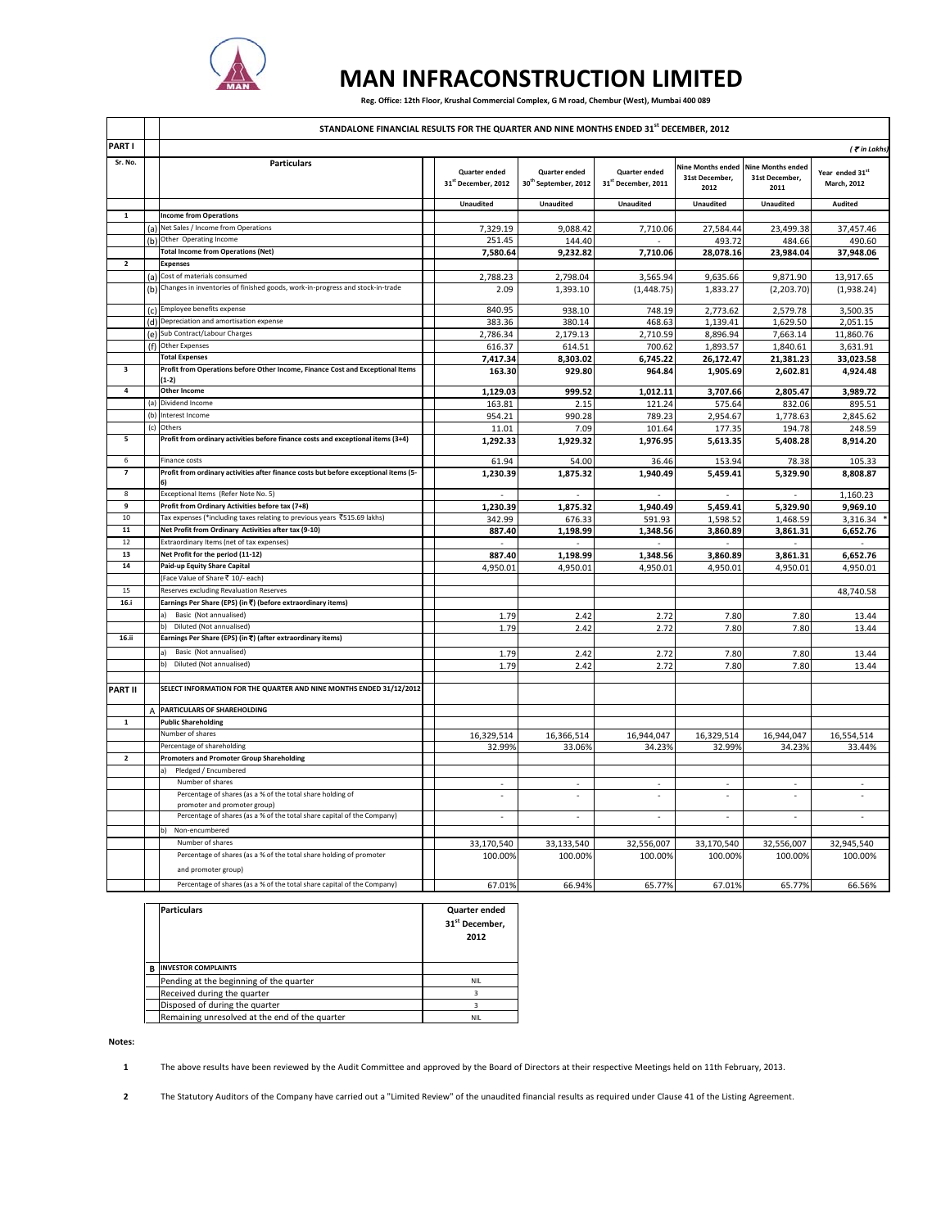

 $\top$ 

## **MAN INFRACONSTRUCTION LIMITED**

Reg. Office: 12th Floor, Krushal Commercial Complex, G M road, Chembur (West), Mumbai 400 089

|                         |     | STANDALONE FINANCIAL RESULTS FOR THE QUARTER AND NINE MONTHS ENDED 31 <sup>ST</sup> DECEMBER, 2012 |                                             |                                                   |                                             |                                                               |                        |                                 |
|-------------------------|-----|----------------------------------------------------------------------------------------------------|---------------------------------------------|---------------------------------------------------|---------------------------------------------|---------------------------------------------------------------|------------------------|---------------------------------|
| PART I                  |     |                                                                                                    |                                             |                                                   |                                             |                                                               |                        | $($ $\bar{\mathbf{c}}$ in Lakhs |
| Sr. No.                 |     | <b>Particulars</b>                                                                                 | <b>Quarter ended</b><br>31st December, 2012 | Quarter ended<br>30 <sup>th</sup> September, 2012 | <b>Quarter ended</b><br>31st December, 2011 | Nine Months ended Nine Months ended<br>31st December,<br>2012 | 31st December,<br>2011 | Year ended 31st<br>March, 2012  |
|                         |     |                                                                                                    | <b>Unaudited</b>                            | <b>Unaudited</b>                                  | Unaudited                                   | <b>Unaudited</b>                                              | <b>Unaudited</b>       | Audited                         |
| $\mathbf{1}$            |     | <b>Income from Operations</b>                                                                      |                                             |                                                   |                                             |                                                               |                        |                                 |
|                         |     | (a) Net Sales / Income from Operations                                                             | 7,329.19                                    | 9,088.42                                          | 7,710.06                                    | 27,584.44                                                     | 23,499.38              | 37,457.46                       |
|                         | (b) | Other Operating Income                                                                             | 251.45                                      | 144.40                                            |                                             | 493.72                                                        | 484.66                 | 490.60                          |
|                         |     | <b>Total Income from Operations (Net)</b>                                                          | 7,580.64                                    | 9,232.82                                          | 7,710.06                                    | 28,078.16                                                     | 23,984.04              | 37,948.06                       |
| $\overline{2}$          |     | <b>Expenses</b>                                                                                    |                                             |                                                   |                                             |                                                               |                        |                                 |
|                         | (a) | Cost of materials consumed                                                                         | 2,788.23                                    | 2,798.04                                          | 3,565.94                                    | 9,635.66                                                      | 9,871.90               | 13,917.65                       |
|                         |     | (b) Changes in inventories of finished goods, work-in-progress and stock-in-trade                  | 2.09                                        | 1,393.10                                          | (1,448.75)                                  | 1,833.27                                                      | (2, 203.70)            | (1,938.24)                      |
|                         |     | (c) Employee benefits expense                                                                      | 840.95                                      | 938.10                                            | 748.19                                      | 2,773.62                                                      | 2,579.78               | 3,500.35                        |
|                         |     | (d) Depreciation and amortisation expense                                                          | 383.36                                      | 380.14                                            | 468.63                                      | 1,139.41                                                      | 1,629.50               | 2,051.15                        |
|                         |     | (e) Sub Contract/Labour Charges                                                                    | 2,786.34                                    | 2,179.13                                          | 2,710.59                                    | 8,896.94                                                      | 7,663.14               | 11,860.76                       |
|                         |     | (f) Other Expenses                                                                                 | 616.37                                      | 614.51                                            | 700.62                                      | 1,893.57                                                      | 1,840.61               | 3,631.91                        |
|                         |     | <b>Total Expenses</b>                                                                              | 7,417.34                                    | 8,303.02                                          | 6,745.22                                    | 26,172.47                                                     | 21,381.23              | 33,023.58                       |
| $\overline{\mathbf{3}}$ |     | Profit from Operations before Other Income, Finance Cost and Exceptional Items<br>(1-2)            | 163.30                                      | 929.80                                            | 964.84                                      | 1,905.69                                                      | 2,602.81               | 4,924.48                        |
| 4                       |     | Other Income                                                                                       | 1,129.03                                    | 999.52                                            | 1,012.11                                    | 3,707.66                                                      | 2,805.47               | 3,989.72                        |
|                         | (a) | Dividend Income                                                                                    | 163.81                                      | 2.15                                              | 121.24                                      | 575.64                                                        | 832.06                 | 895.51                          |
|                         |     | (b) Interest Income                                                                                | 954.21                                      | 990.28                                            | 789.23                                      | 2,954.67                                                      | 1,778.63               | 2,845.62                        |
|                         | (c) | Others                                                                                             | 11.01                                       | 7.09                                              | 101.64                                      | 177.35                                                        | 194.78                 | 248.59                          |
| 5                       |     | Profit from ordinary activities before finance costs and exceptional items (3+4)                   | 1,292.33                                    | 1,929.32                                          | 1,976.95                                    | 5,613.35                                                      | 5,408.28               | 8,914.20                        |
| 6                       |     | <b>Finance costs</b>                                                                               | 61.94                                       | 54.00                                             | 36.46                                       | 153.94                                                        | 78.38                  | 105.33                          |
| $\overline{ }$          |     | Profit from ordinary activities after finance costs but before exceptional items (5-               | 1,230.39                                    | 1,875.32                                          | 1,940.49                                    | 5,459.41                                                      | 5,329.90               | 8,808.87                        |
| 8                       |     | Exceptional Items (Refer Note No. 5)                                                               |                                             |                                                   | ×.                                          | ×.                                                            |                        | 1,160.23                        |
| 9                       |     | Profit from Ordinary Activities before tax (7+8)                                                   | 1,230.39                                    | 1,875.32                                          | 1,940.49                                    | 5,459.41                                                      | 5,329.90               | 9,969.10                        |
| 10                      |     | Tax expenses (*including taxes relating to previous years ₹515.69 lakhs)                           | 342.99                                      | 676.33                                            | 591.93                                      | 1,598.52                                                      | 1,468.59               | 3,316.34                        |
| 11                      |     | Net Profit from Ordinary Activities after tax (9-10)                                               | 887.40                                      | 1,198.99                                          | 1,348.56                                    | 3,860.89                                                      | 3,861.31               | 6,652.76                        |
| 12                      |     | Extraordinary Items (net of tax expenses)                                                          |                                             |                                                   |                                             |                                                               |                        |                                 |
| 13                      |     | Net Profit for the period (11-12)                                                                  | 887.40                                      | 1,198.99                                          | 1,348.56                                    | 3,860.89                                                      | 3,861.31               | 6,652.76                        |
| 14                      |     | Paid-up Equity Share Capital                                                                       | 4,950.01                                    | 4,950.01                                          | 4,950.01                                    | 4,950.01                                                      | 4,950.01               | 4,950.01                        |
|                         |     | (Face Value of Share ₹ 10/- each)                                                                  |                                             |                                                   |                                             |                                                               |                        |                                 |
| 15                      |     | Reserves excluding Revaluation Reserves                                                            |                                             |                                                   |                                             |                                                               |                        | 48,740.58                       |
| 16.i                    |     | Earnings Per Share (EPS) (in ₹) (before extraordinary items)                                       |                                             |                                                   |                                             |                                                               |                        |                                 |
|                         |     | Basic (Not annualised)<br>a)                                                                       | 1.79                                        | 2.42                                              | 2.72                                        | 7.80                                                          | 7.80                   | 13.44                           |
|                         |     | Diluted (Not annualised)<br>b)                                                                     | 1.79                                        | 2.42                                              | 2.72                                        | 7.80                                                          | 7.80                   | 13.44                           |
| 16.ii                   |     | Earnings Per Share (EPS) (in ₹) (after extraordinary items)                                        |                                             |                                                   |                                             |                                                               |                        |                                 |
|                         |     | Basic (Not annualised)<br>a)                                                                       | 1.79                                        | 2.42                                              | 2.72                                        | 7.80                                                          | 7.80                   | 13.44                           |
|                         |     | Diluted (Not annualised)<br>h)                                                                     | 1.79                                        | 2.42                                              | 2.72                                        | 7.80                                                          | 7.80                   | 13.44                           |
| PART II                 |     | SELECT INFORMATION FOR THE QUARTER AND NINE MONTHS ENDED 31/12/2012                                |                                             |                                                   |                                             |                                                               |                        |                                 |
|                         |     | PARTICULARS OF SHAREHOLDING                                                                        |                                             |                                                   |                                             |                                                               |                        |                                 |
| $\mathbf{1}$            |     | <b>Public Shareholding</b>                                                                         |                                             |                                                   |                                             |                                                               |                        |                                 |
|                         |     | Number of shares                                                                                   | 16,329,514                                  | 16,366,514                                        | 16,944,047                                  | 16,329,514                                                    | 16,944,047             | 16,554,514                      |
|                         |     | Percentage of shareholding                                                                         | 32.999                                      | 33.069                                            | 34.23%                                      | 32.99%                                                        | 34.23%                 | 33.44%                          |
| $\overline{\mathbf{c}}$ |     | <b>Promoters and Promoter Group Shareholding</b>                                                   |                                             |                                                   |                                             |                                                               |                        |                                 |
|                         |     | Pledged / Encumbered<br>a)                                                                         |                                             |                                                   |                                             |                                                               |                        |                                 |
|                         |     | Number of shares                                                                                   |                                             |                                                   |                                             |                                                               |                        |                                 |
|                         |     | Percentage of shares (as a % of the total share holding of                                         |                                             |                                                   |                                             |                                                               |                        |                                 |
|                         |     | promoter and promoter group)                                                                       |                                             |                                                   |                                             |                                                               |                        |                                 |
|                         |     | Percentage of shares (as a % of the total share capital of the Company)                            | ä,                                          | ÷.                                                | ×                                           | $\sim$                                                        | ×                      | ٠                               |
|                         |     | Non-encumbered                                                                                     |                                             |                                                   |                                             |                                                               |                        |                                 |
|                         |     | Number of shares                                                                                   | 33,170,540                                  | 33,133,540                                        | 32,556,007                                  | 33,170,540                                                    | 32,556,007             | 32,945,540                      |
|                         |     | Percentage of shares (as a % of the total share holding of promoter<br>and promoter group)         | 100.00%                                     | 100.00%                                           | 100.00%                                     | 100.00%                                                       | 100.00%                | 100.00%                         |
|                         |     | Percentage of shares (as a % of the total share capital of the Company)                            | 67.01%                                      | 66.94%                                            | 65.77%                                      | 67.01%                                                        | 65.77%                 | 66.56%                          |

|   | <b>Particulars</b>                             | Quarter ended<br>31 <sup>st</sup> December.<br>2012 |
|---|------------------------------------------------|-----------------------------------------------------|
| R | <b>INVESTOR COMPLAINTS</b>                     |                                                     |
|   | Pending at the beginning of the quarter        | <b>NIL</b>                                          |
|   | Received during the quarter                    |                                                     |
|   | Disposed of during the quarter                 |                                                     |
|   | Remaining unresolved at the end of the quarter | <b>NIL</b>                                          |

**Notes:**

**1** The above results have been reviewed by the Audit Committee and approved by the Board of Directors at their respective Meetings held on 11th February, 2013.

**2** The Statutory Auditors of the Company have carried out a "Limited Review" of the unaudited financial results as required under Clause 41 of the Listing Agreement.